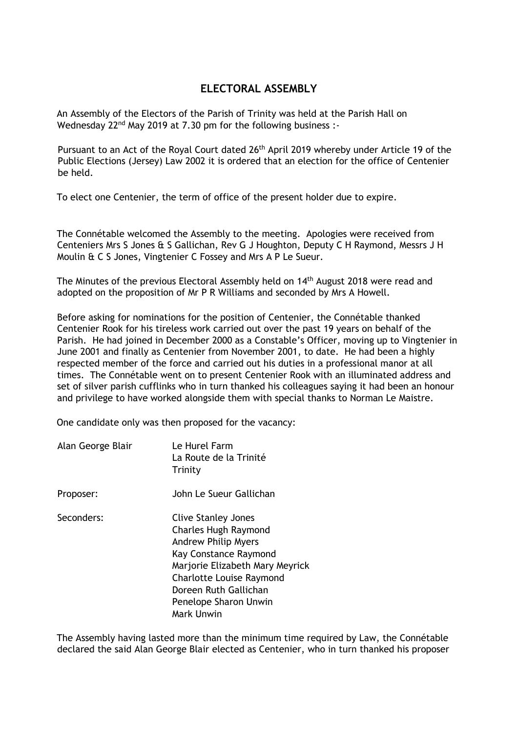## **ELECTORAL ASSEMBLY**

An Assembly of the Electors of the Parish of Trinity was held at the Parish Hall on Wednesday 22<sup>nd</sup> May 2019 at 7.30 pm for the following business :-

Pursuant to an Act of the Royal Court dated 26<sup>th</sup> April 2019 whereby under Article 19 of the Public Elections (Jersey) Law 2002 it is ordered that an election for the office of Centenier be held.

To elect one Centenier, the term of office of the present holder due to expire.

The Connétable welcomed the Assembly to the meeting. Apologies were received from Centeniers Mrs S Jones & S Gallichan, Rev G J Houghton, Deputy C H Raymond, Messrs J H Moulin & C S Jones, Vingtenier C Fossey and Mrs A P Le Sueur.

The Minutes of the previous Electoral Assembly held on 14<sup>th</sup> August 2018 were read and adopted on the proposition of Mr P R Williams and seconded by Mrs A Howell.

Before asking for nominations for the position of Centenier, the Connétable thanked Centenier Rook for his tireless work carried out over the past 19 years on behalf of the Parish. He had joined in December 2000 as a Constable's Officer, moving up to Vingtenier in June 2001 and finally as Centenier from November 2001, to date. He had been a highly respected member of the force and carried out his duties in a professional manor at all times. The Connétable went on to present Centenier Rook with an illuminated address and set of silver parish cufflinks who in turn thanked his colleagues saying it had been an honour and privilege to have worked alongside them with special thanks to Norman Le Maistre.

One candidate only was then proposed for the vacancy:

| Alan George Blair | Le Hurel Farm<br>La Route de la Trinité<br>Trinity                                                                                                                                                                                              |
|-------------------|-------------------------------------------------------------------------------------------------------------------------------------------------------------------------------------------------------------------------------------------------|
| Proposer:         | John Le Sueur Gallichan                                                                                                                                                                                                                         |
| Seconders:        | <b>Clive Stanley Jones</b><br><b>Charles Hugh Raymond</b><br><b>Andrew Philip Myers</b><br>Kay Constance Raymond<br>Marjorie Elizabeth Mary Meyrick<br>Charlotte Louise Raymond<br>Doreen Ruth Gallichan<br>Penelope Sharon Unwin<br>Mark Unwin |

The Assembly having lasted more than the minimum time required by Law, the Connétable declared the said Alan George Blair elected as Centenier, who in turn thanked his proposer